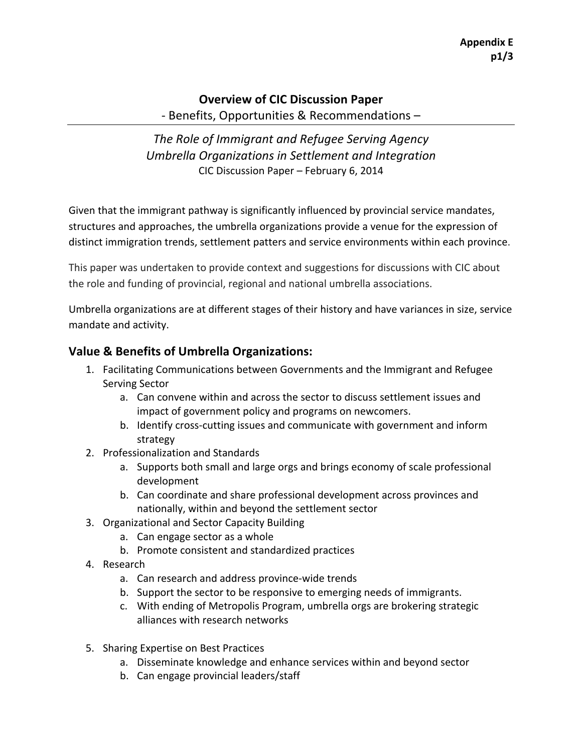## **Overview of CIC Discussion Paper**

- Benefits, Opportunities & Recommendations –

*The\$Role\$of\$Immigrant\$and\$Refugee\$Serving\$Agency Umbrella\$Organizations\$in\$Settlement\$and\$Integration\$* CIC Discussion Paper – February 6, 2014

Given that the immigrant pathway is significantly influenced by provincial service mandates, structures and approaches, the umbrella organizations provide a venue for the expression of distinct immigration trends, settlement patters and service environments within each province.

This paper was undertaken to provide context and suggestions for discussions with CIC about the role and funding of provincial, regional and national umbrella associations.

Umbrella organizations are at different stages of their history and have variances in size, service mandate and activity.

## **Value & Benefits of Umbrella Organizations:**

- 1. Facilitating Communications between Governments and the Immigrant and Refugee Serving Sector
	- a. Can convene within and across the sector to discuss settlement issues and impact of government policy and programs on newcomers.
	- b. Identify cross-cutting issues and communicate with government and inform strategy
- 2. Professionalization and Standards
	- a. Supports both small and large orgs and brings economy of scale professional development
	- b. Can coordinate and share professional development across provinces and nationally, within and beyond the settlement sector
- 3. Organizational and Sector Capacity Building
	- a. Can engage sector as a whole
	- b. Promote consistent and standardized practices
- 4. Research
	- a. Can research and address province-wide trends
	- b. Support the sector to be responsive to emerging needs of immigrants.
	- c. With ending of Metropolis Program, umbrella orgs are brokering strategic alliances with research networks
- 5. Sharing Expertise on Best Practices
	- a. Disseminate knowledge and enhance services within and beyond sector
	- b. Can engage provincial leaders/staff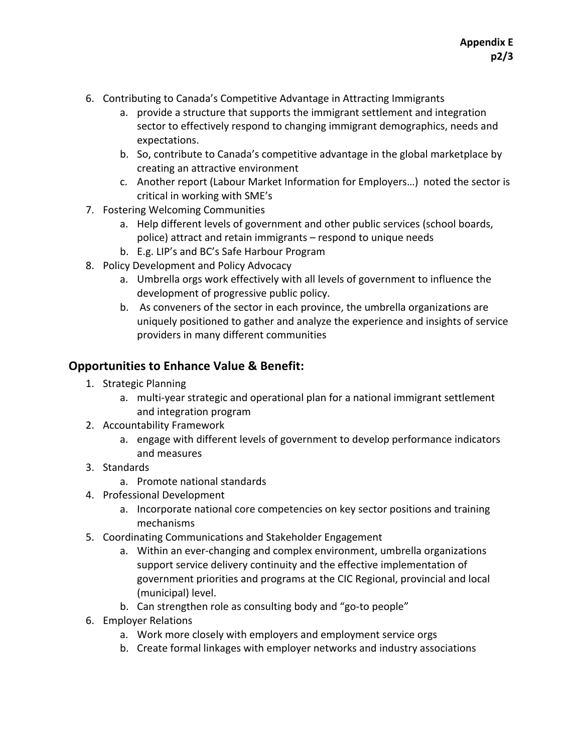- 6. Contributing to Canada's Competitive Advantage in Attracting Immigrants
	- a. provide a structure that supports the immigrant settlement and integration sector to effectively respond to changing immigrant demographics, needs and expectations.
	- b. So, contribute to Canada's competitive advantage in the global marketplace by creating an attractive environment
	- c. Another report (Labour Market Information for Employers...) noted the sector is critical in working with SME's
- 7. Fostering Welcoming Communities
	- a. Help different levels of government and other public services (school boards, police) attract and retain immigrants – respond to unique needs
	- b. E.g. LIP's and BC's Safe Harbour Program
- 8. Policy Development and Policy Advocacy
	- a. Umbrella orgs work effectively with all levels of government to influence the development of progressive public policy.
	- b. As conveners of the sector in each province, the umbrella organizations are uniquely positioned to gather and analyze the experience and insights of service providers in many different communities

## **Opportunities to Enhance Value & Benefit:**

- 1. Strategic Planning
	- a. multi-year strategic and operational plan for a national immigrant settlement and integration program
- 2. Accountability Framework
	- a. engage with different levels of government to develop performance indicators and measures
- 3. Standards
	- a. Promote national standards
- 4. Professional Development
	- a. Incorporate national core competencies on key sector positions and training mechanisms
- 5. Coordinating Communications and Stakeholder Engagement
	- a. Within an ever-changing and complex environment, umbrella organizations support service delivery continuity and the effective implementation of government priorities and programs at the CIC Regional, provincial and local (municipal) level.
	- b. Can strengthen role as consulting body and "go-to people"
- 6. Employer Relations
	- a. Work more closely with employers and employment service orgs
	- b. Create formal linkages with employer networks and industry associations